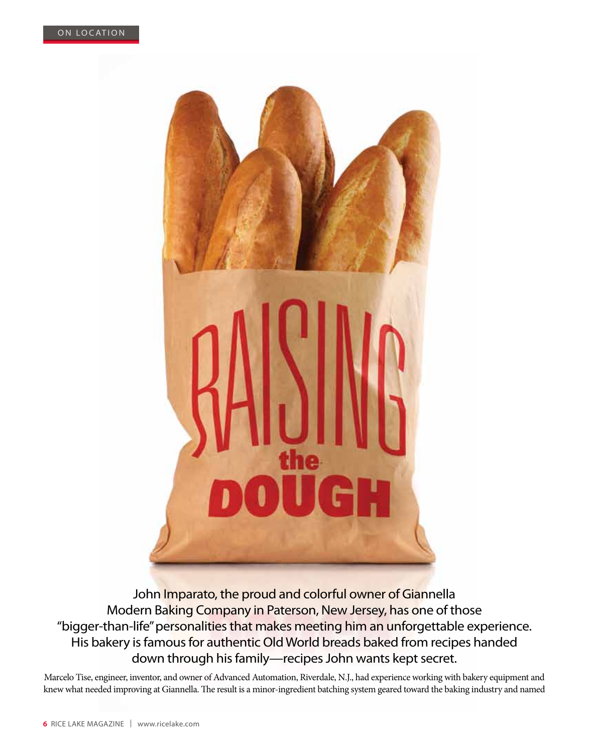

John Imparato, the proud and colorful owner of Giannella Modern Baking Company in Paterson, New Jersey, has one of those "bigger-than-life" personalities that makes meeting him an unforgettable experience. His bakery is famous for authentic Old World breads baked from recipes handed down through his family—recipes John wants kept secret.

Marcelo Tise, engineer, inventor, and owner of Advanced Automation, Riverdale, N.J., had experience working with bakery equipment and knew what needed improving at Giannella. The result is a minor-ingredient batching system geared toward the baking industry and named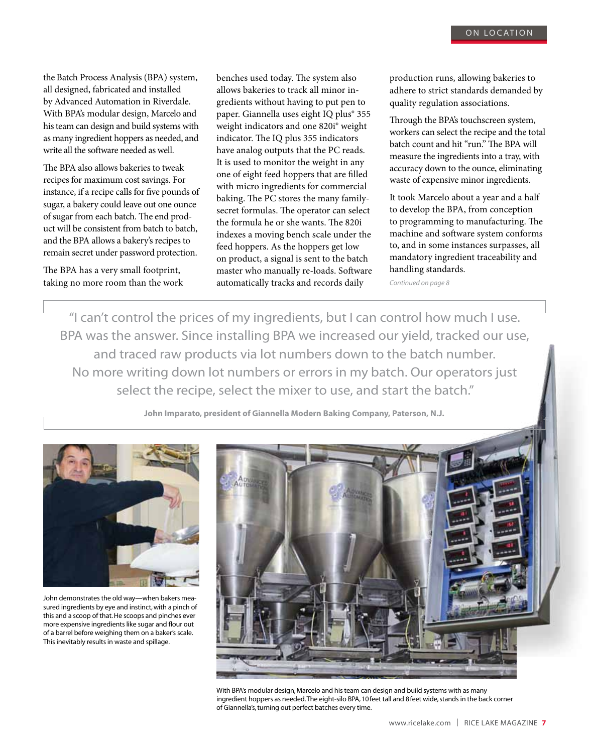the Batch Process Analysis (BPA) system, all designed, fabricated and installed by Advanced Automation in Riverdale. With BPA's modular design, Marcelo and his team can design and build systems with as many ingredient hoppers as needed, and write all the software needed as well.

The BPA also allows bakeries to tweak recipes for maximum cost savings. For instance, if a recipe calls for five pounds of sugar, a bakery could leave out one ounce of sugar from each batch. The end product will be consistent from batch to batch, and the BPA allows a bakery's recipes to remain secret under password protection.

The BPA has a very small footprint, taking no more room than the work benches used today. The system also allows bakeries to track all minor ingredients without having to put pen to paper. Giannella uses eight IQ plus® 355 weight indicators and one 820i® weight indicator. The IQ plus 355 indicators have analog outputs that the PC reads. It is used to monitor the weight in any one of eight feed hoppers that are filled with micro ingredients for commercial baking. The PC stores the many familysecret formulas. The operator can select the formula he or she wants. The 820i indexes a moving bench scale under the feed hoppers. As the hoppers get low on product, a signal is sent to the batch master who manually re-loads. Software automatically tracks and records daily

production runs, allowing bakeries to adhere to strict standards demanded by quality regulation associations.

Through the BPA's touchscreen system, workers can select the recipe and the total batch count and hit "run." The BPA will measure the ingredients into a tray, with accuracy down to the ounce, eliminating waste of expensive minor ingredients.

It took Marcelo about a year and a half to develop the BPA, from conception to programming to manufacturing. The machine and software system conforms to, and in some instances surpasses, all mandatory ingredient traceability and handling standards.

*Continued on page 8* 

"I can't control the prices of my ingredients, but I can control how much I use. BPA was the answer. Since installing BPA we increased our yield, tracked our use, and traced raw products via lot numbers down to the batch number. No more writing down lot numbers or errors in my batch. Our operators just select the recipe, select the mixer to use, and start the batch."

**John Imparato, president of Giannella Modern Baking Company, Paterson, N.J.**



John demonstrates the old way—when bakers measured ingredients by eye and instinct, with a pinch of this and a scoop of that. He scoops and pinches ever more expensive ingredients like sugar and flour out of a barrel before weighing them on a baker's scale. This inevitably results in waste and spillage.



With BPA's modular design, Marcelo and his team can design and build systems with as many ingredient hoppers as needed. The eight-silo BPA, 10feet tall and 8feet wide, stands in the back corner of Giannella's, turning out perfect batches every time.